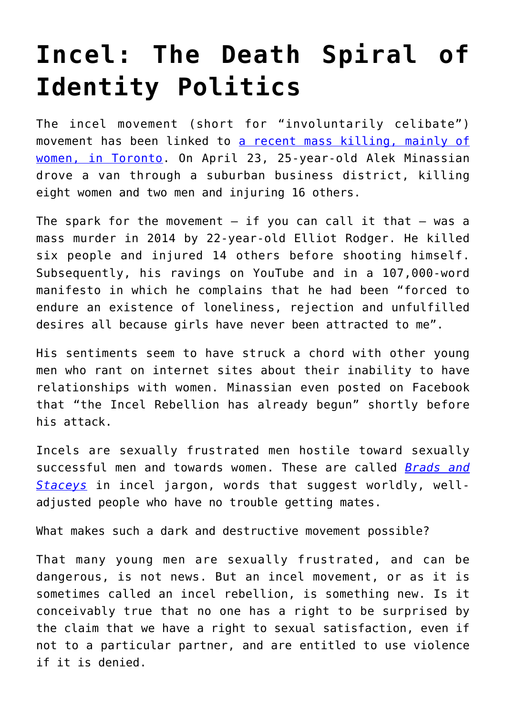## **[Incel: The Death Spiral of](https://intellectualtakeout.org/2018/05/incel-the-death-spiral-of-identity-politics/) [Identity Politics](https://intellectualtakeout.org/2018/05/incel-the-death-spiral-of-identity-politics/)**

The incel movement (short for "involuntarily celibate") movement has been linked to [a recent mass killing, mainly of](https://www.mercatornet.com/features/view/incel-the-death-spiral-of-identity-politics/(https:/www.msn.com/en-us/news/world/toronto-van-attack-facebrook-post-may-link-suspect-to-misogynist-incel-subculture/ar-AAwiqqf?ocid=spartanntp) [women, in Toronto.](https://www.mercatornet.com/features/view/incel-the-death-spiral-of-identity-politics/(https:/www.msn.com/en-us/news/world/toronto-van-attack-facebrook-post-may-link-suspect-to-misogynist-incel-subculture/ar-AAwiqqf?ocid=spartanntp) On April 23, 25-year-old Alek Minassian drove a van through a suburban business district, killing eight women and two men and injuring 16 others.

The spark for the movement  $-$  if you can call it that  $-$  was a mass murder in 2014 by 22-year-old Elliot Rodger. He killed six people and injured 14 others before shooting himself. Subsequently, his ravings on YouTube and in a 107,000-word manifesto in which he complains that he had been "forced to endure an existence of loneliness, rejection and unfulfilled desires all because girls have never been attracted to me".

His sentiments seem to have struck a chord with other young men who rant on internet sites about their inability to have relationships with women. Minassian even posted on Facebook that "the Incel Rebellion has already begun" shortly before his attack.

Incels are sexually frustrated men hostile toward sexually successful men and towards women. These are called *[Brads and](https://www.nytimes.com/2018/04/24/world/canada/incel-reddit-meaning-rebellion.html) [Staceys](https://www.nytimes.com/2018/04/24/world/canada/incel-reddit-meaning-rebellion.html)* in incel jargon, words that suggest worldly, welladjusted people who have no trouble getting mates.

What makes such a dark and destructive movement possible?

That many young men are sexually frustrated, and can be dangerous, is not news. But an incel movement, or as it is sometimes called an incel rebellion, is something new. Is it conceivably true that no one has a right to be surprised by the claim that we have a right to sexual satisfaction, even if not to a particular partner, and are entitled to use violence if it is denied.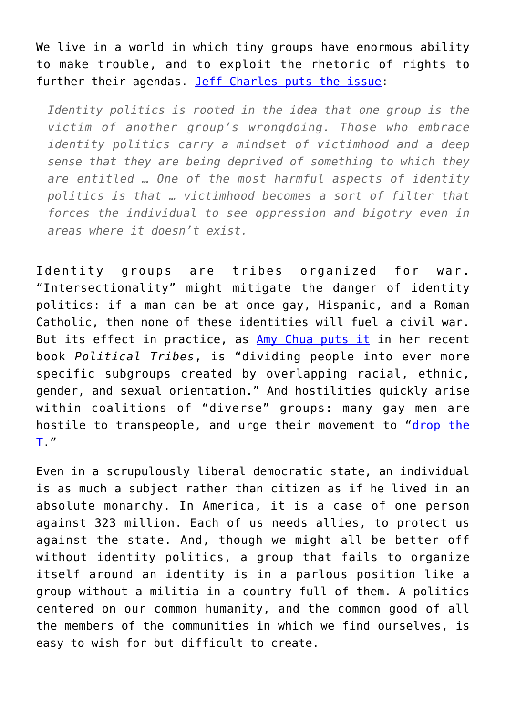We live in a world in which tiny groups have enormous ability to make trouble, and to exploit the rhetoric of rights to further their agendas. [Jeff Charles puts the issue:](https://www.huffingtonpost.com/entry/what-created-todays-white-identity-politics_us_5a2ec487e4b04cb297c2aef8)

*Identity politics is rooted in the idea that one group is the victim of another group's wrongdoing. Those who embrace identity politics carry a mindset of victimhood and a deep sense that they are being deprived of something to which they are entitled … One of the most harmful aspects of identity politics is that … victimhood becomes a sort of filter that forces the individual to see oppression and bigotry even in areas where it doesn't exist.*

Identity groups are tribes organized for war. "Intersectionality" might mitigate the danger of identity politics: if a man can be at once gay, Hispanic, and a Roman Catholic, then none of these identities will fuel a civil war. But its effect in practice, as [Amy Chua puts it](https://amzn.to/2HOGsJO) in her recent book *Political Tribes*, is "dividing people into ever more specific subgroups created by overlapping racial, ethnic, gender, and sexual orientation." And hostilities quickly arise within coalitions of "diverse" groups: many gay men are hostile to transpeople, and urge their movement to "[drop the](https://www.change.org/p/human-rights-campaign-glaad-lambda-legal-the-advocate-out-magazine-huffpost-gay-voices-drop-the-t) [T.](https://www.change.org/p/human-rights-campaign-glaad-lambda-legal-the-advocate-out-magazine-huffpost-gay-voices-drop-the-t)"

Even in a scrupulously liberal democratic state, an individual is as much a subject rather than citizen as if he lived in an absolute monarchy. In America, it is a case of one person against 323 million. Each of us needs allies, to protect us against the state. And, though we might all be better off without identity politics, a group that fails to organize itself around an identity is in a parlous position like a group without a militia in a country full of them. A politics centered on our common humanity, and the common good of all the members of the communities in which we find ourselves, is easy to wish for but difficult to create.